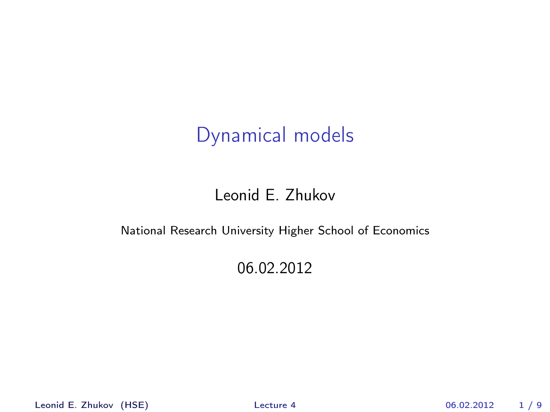# Dynamical models

#### Leonid E. Zhukov

#### National Research University Higher School of Economics

#### <span id="page-0-0"></span>06.02.2012

Leonid E. Zhukov (HSE) [Lecture 4](#page-8-0) 06.02.2012 1 / 9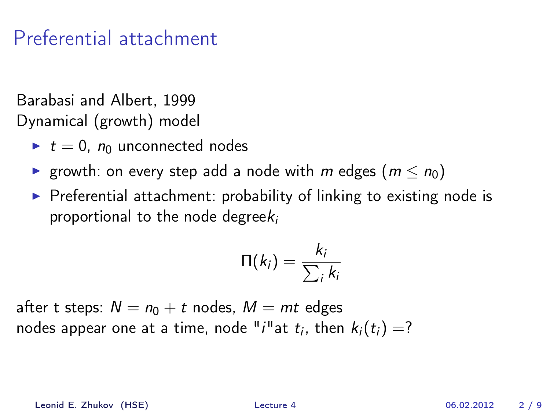Barabasi and Albert, 1999 Dynamical (growth) model

- $\blacktriangleright$  t = 0,  $n_0$  unconnected nodes
- ► growth: on every step add a node with m edges  $(m < n<sub>0</sub>)$
- $\triangleright$  Preferential attachment: probability of linking to existing node is proportional to the node degree $k_i$

$$
\Pi(k_i) = \frac{k_i}{\sum_i k_i}
$$

after t steps:  $N = n_0 + t$  nodes,  $M = mt$  edges nodes appear one at a time, node " $i$ "at  $t_i$ , then  $k_i(t_i)=?$ 

Leonid E. Zhukov (HSE) [Lecture 4](#page-0-0) 06.02.2012 2 / 9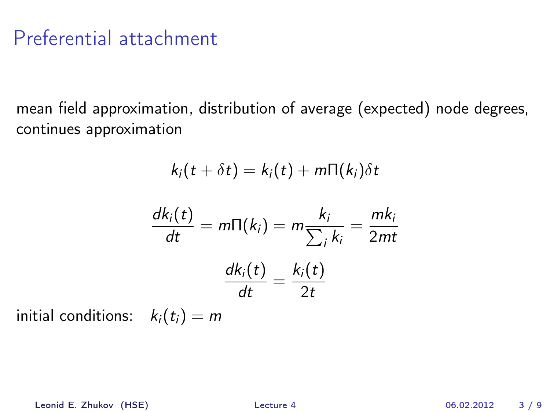mean field approximation, distribution of average (expected) node degrees, continues approximation

$$
k_i(t + \delta t) = k_i(t) + m\Pi(k_i)\delta t
$$

$$
\frac{dk_i(t)}{dt} = m\Pi(k_i) = m\frac{k_i}{\sum_i k_i} = \frac{mk_i}{2mt}
$$

$$
\frac{dk_i(t)}{dt} = \frac{k_i(t)}{2t}
$$

initial conditions:  $k_i(t_i) = m$ 

Leonid E. Zhukov (HSE) [Lecture 4](#page-0-0) 06.02.2012 3 / 9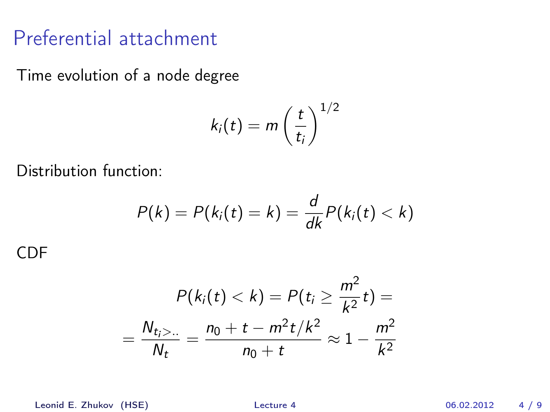Time evolution of a node degree

$$
k_i(t) = m\left(\frac{t}{t_i}\right)^{1/2}
$$

Distribution function:

$$
P(k) = P(ki(t) = k) = \frac{d}{dk}P(ki(t) < k)
$$

CDF

$$
P(k_i(t) < k) = P(t_i \ge \frac{m^2}{k^2}t) =
$$
\n
$$
= \frac{N_{t_i > \dots}}{N_t} = \frac{n_0 + t - m^2t/k^2}{n_0 + t} \approx 1 - \frac{m^2}{k^2}
$$

Leonid E. Zhukov (HSE) [Lecture 4](#page-0-0) 06.02.2012 4 / 9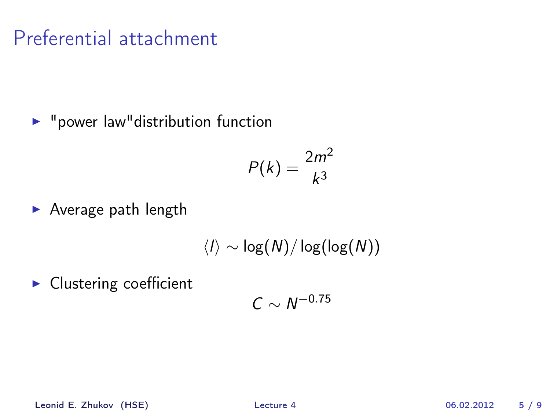$\blacktriangleright$  "power law" distribution function

$$
P(k) = \frac{2m^2}{k^3}
$$

 $\blacktriangleright$  Average path length

$$
\langle I\rangle\sim\log(N)/\log(\log(N))
$$

 $\blacktriangleright$  Clustering coefficient

$$
C\sim N^{-0.75}
$$

Leonid E. Zhukov (HSE) [Lecture 4](#page-0-0) 06.02.2012 5 / 9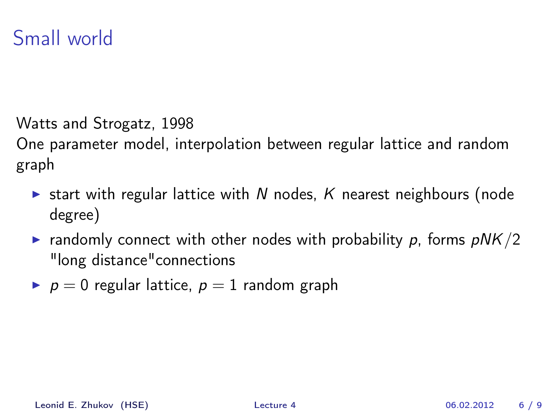Watts and Strogatz, 1998

One parameter model, interpolation between regular lattice and random graph

- Start with regular lattice with N nodes, K nearest neighbours (node degree)
- **Example 1** randomly connect with other nodes with probability p, forms  $pNK/2$ "long distance"connections
- $p = 0$  regular lattice,  $p = 1$  random graph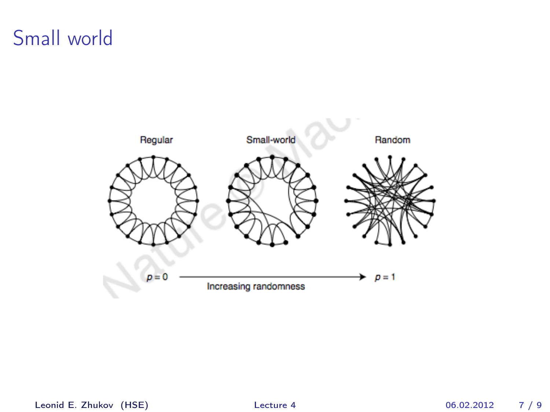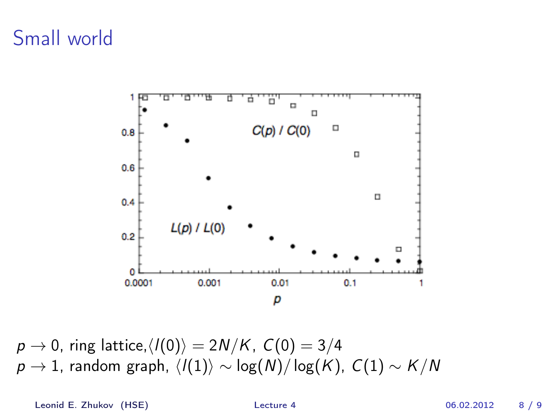

 $p \rightarrow 0$ , ring lattice, $\langle I(0) \rangle = 2N/K$ ,  $C(0) = 3/4$  $p \rightarrow 1$ , random graph,  $\langle l(1)\rangle \sim \log(N)/\log(K)$ ,  $C(1) \sim K/N$ 

Leonid E. Zhukov (HSE) [Lecture 4](#page-0-0) 06.02.2012 8 / 9